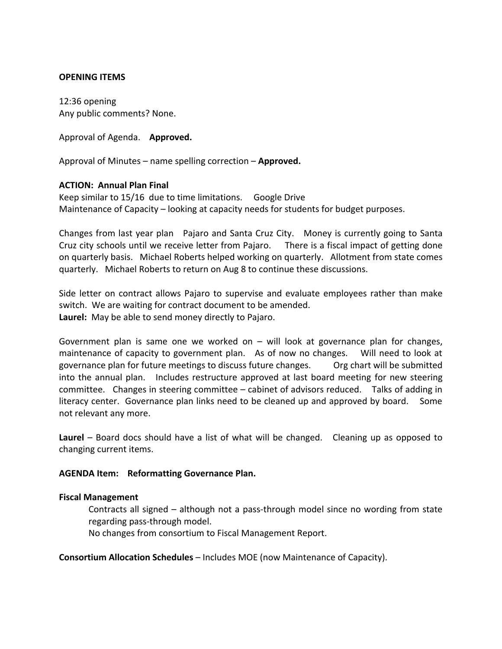### **OPENING ITEMS**

12:36 opening Any public comments? None.

Approval of Agenda. **Approved.**

Approval of Minutes – name spelling correction – **Approved.**

# **ACTION: Annual Plan Final**

Keep similar to 15/16 due to time limitations. Google Drive Maintenance of Capacity – looking at capacity needs for students for budget purposes.

Changes from last year plan Pajaro and Santa Cruz City. Money is currently going to Santa Cruz city schools until we receive letter from Pajaro. There is a fiscal impact of getting done on quarterly basis. Michael Roberts helped working on quarterly. Allotment from state comes quarterly. Michael Roberts to return on Aug 8 to continue these discussions.

Side letter on contract allows Pajaro to supervise and evaluate employees rather than make switch. We are waiting for contract document to be amended. **Laurel:** May be able to send money directly to Pajaro.

Government plan is same one we worked on  $-$  will look at governance plan for changes, maintenance of capacity to government plan. As of now no changes. Will need to look at governance plan for future meetings to discuss future changes. Org chart will be submitted into the annual plan. Includes restructure approved at last board meeting for new steering committee. Changes in steering committee – cabinet of advisors reduced. Talks of adding in literacy center. Governance plan links need to be cleaned up and approved by board. Some not relevant any more.

**Laurel** – Board docs should have a list of what will be changed. Cleaning up as opposed to changing current items.

### **AGENDA Item: Reformatting Governance Plan.**

### **Fiscal Management**

Contracts all signed – although not a pass-through model since no wording from state regarding pass-through model.

No changes from consortium to Fiscal Management Report.

**Consortium Allocation Schedules** – Includes MOE (now Maintenance of Capacity).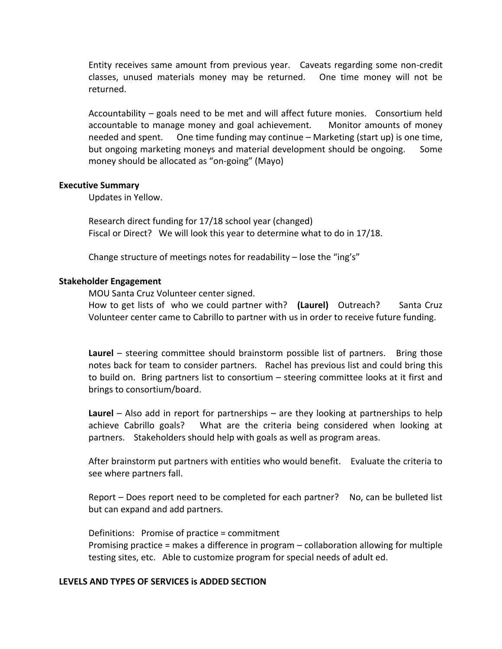Entity receives same amount from previous year. Caveats regarding some non-credit classes, unused materials money may be returned. One time money will not be returned.

Accountability – goals need to be met and will affect future monies. Consortium held accountable to manage money and goal achievement. Monitor amounts of money needed and spent. One time funding may continue – Marketing (start up) is one time, but ongoing marketing moneys and material development should be ongoing. Some money should be allocated as "on-going" (Mayo)

### **Executive Summary**

Updates in Yellow.

Research direct funding for 17/18 school year (changed) Fiscal or Direct? We will look this year to determine what to do in 17/18.

Change structure of meetings notes for readability – lose the "ing's"

### **Stakeholder Engagement**

MOU Santa Cruz Volunteer center signed.

How to get lists of who we could partner with? **(Laurel)** Outreach? Santa Cruz Volunteer center came to Cabrillo to partner with us in order to receive future funding.

**Laurel** – steering committee should brainstorm possible list of partners. Bring those notes back for team to consider partners. Rachel has previous list and could bring this to build on. Bring partners list to consortium – steering committee looks at it first and brings to consortium/board.

**Laurel** – Also add in report for partnerships – are they looking at partnerships to help achieve Cabrillo goals? What are the criteria being considered when looking at partners. Stakeholders should help with goals as well as program areas.

After brainstorm put partners with entities who would benefit. Evaluate the criteria to see where partners fall.

Report – Does report need to be completed for each partner? No, can be bulleted list but can expand and add partners.

Definitions: Promise of practice = commitment Promising practice = makes a difference in program – collaboration allowing for multiple testing sites, etc. Able to customize program for special needs of adult ed.

# **LEVELS AND TYPES OF SERVICES is ADDED SECTION**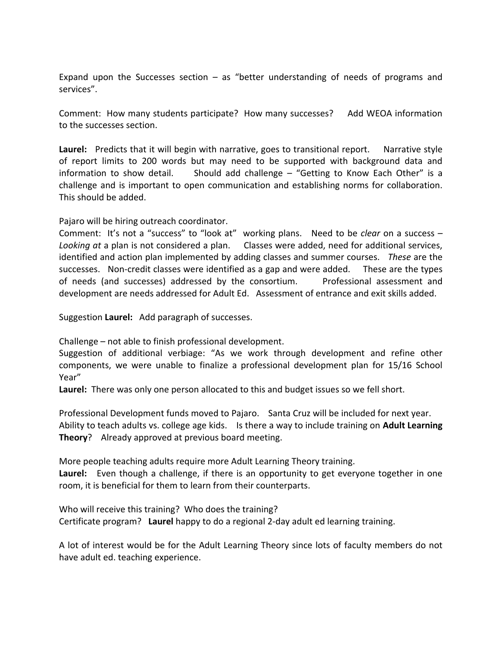Expand upon the Successes section  $-$  as "better understanding of needs of programs and services".

Comment: How many students participate? How many successes? Add WEOA information to the successes section.

Laurel: Predicts that it will begin with narrative, goes to transitional report. Narrative style of report limits to 200 words but may need to be supported with background data and information to show detail. Should add challenge  $-$  "Getting to Know Each Other" is a challenge and is important to open communication and establishing norms for collaboration. This should be added.

Pajaro will be hiring outreach coordinator.

Comment: It's not a "success" to "look at" working plans. Need to be *clear* on a success – *Looking at* a plan is not considered a plan. Classes were added, need for additional services, identified and action plan implemented by adding classes and summer courses. *These* are the successes. Non-credit classes were identified as a gap and were added. These are the types of needs (and successes) addressed by the consortium. Professional assessment and development are needs addressed for Adult Ed. Assessment of entrance and exit skills added.

Suggestion **Laurel:** Add paragraph of successes.

Challenge – not able to finish professional development.

Suggestion of additional verbiage: "As we work through development and refine other components, we were unable to finalize a professional development plan for 15/16 School Year"

**Laurel:** There was only one person allocated to this and budget issues so we fell short.

Professional Development funds moved to Pajaro. Santa Cruz will be included for next year. Ability to teach adults vs. college age kids. Is there a way to include training on **Adult Learning Theory**? Already approved at previous board meeting.

More people teaching adults require more Adult Learning Theory training. **Laurel:** Even though a challenge, if there is an opportunity to get everyone together in one room, it is beneficial for them to learn from their counterparts.

Who will receive this training? Who does the training? Certificate program? **Laurel** happy to do a regional 2-day adult ed learning training.

A lot of interest would be for the Adult Learning Theory since lots of faculty members do not have adult ed. teaching experience.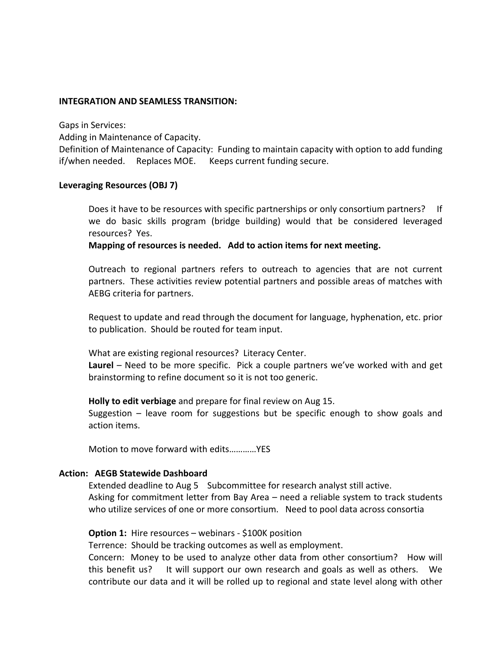### **INTEGRATION AND SEAMLESS TRANSITION:**

Gaps in Services:

Adding in Maintenance of Capacity.

Definition of Maintenance of Capacity: Funding to maintain capacity with option to add funding if/when needed. Replaces MOE. Keeps current funding secure.

# **Leveraging Resources (OBJ 7)**

Does it have to be resources with specific partnerships or only consortium partners? If we do basic skills program (bridge building) would that be considered leveraged resources? Yes.

**Mapping of resources is needed. Add to action items for next meeting.**

Outreach to regional partners refers to outreach to agencies that are not current partners. These activities review potential partners and possible areas of matches with AEBG criteria for partners.

Request to update and read through the document for language, hyphenation, etc. prior to publication. Should be routed for team input.

What are existing regional resources? Literacy Center.

**Laurel** – Need to be more specific. Pick a couple partners we've worked with and get brainstorming to refine document so it is not too generic.

**Holly to edit verbiage** and prepare for final review on Aug 15.

Suggestion – leave room for suggestions but be specific enough to show goals and action items.

Motion to move forward with edits…………YES

# **Action: AEGB Statewide Dashboard**

Extended deadline to Aug 5 Subcommittee for research analyst still active. Asking for commitment letter from Bay Area – need a reliable system to track students who utilize services of one or more consortium. Need to pool data across consortia

### **Option 1:** Hire resources – webinars - \$100K position

Terrence: Should be tracking outcomes as well as employment.

Concern: Money to be used to analyze other data from other consortium? How will this benefit us? It will support our own research and goals as well as others. We contribute our data and it will be rolled up to regional and state level along with other